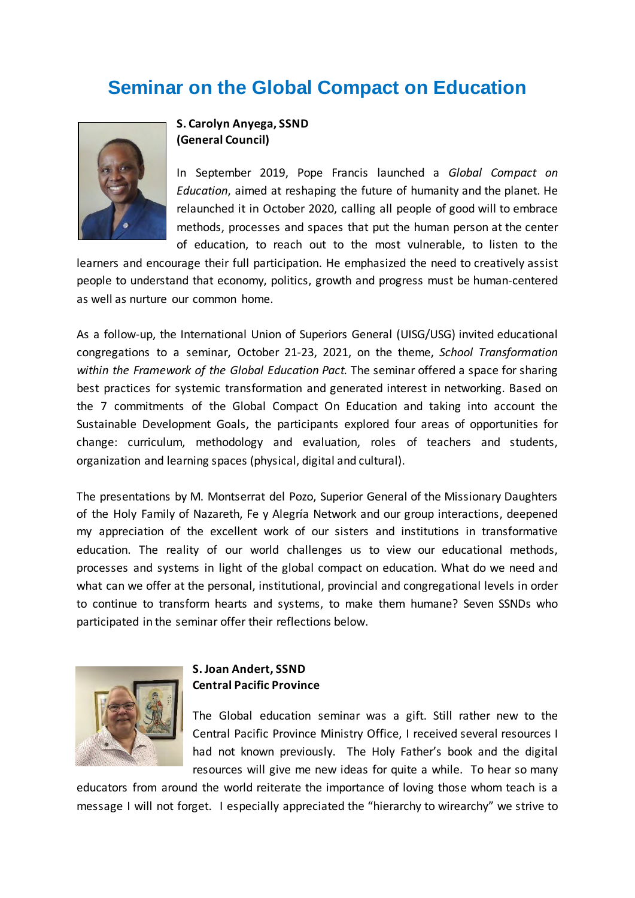# **Seminar on the Global Compact on Education**



# **S. Carolyn Anyega, SSND (General Council)**

In September 2019, Pope Francis launched a *Global Compact on Education*, aimed at reshaping the future of humanity and the planet. He relaunched it in October 2020, calling all people of good will to embrace methods, processes and spaces that put the human person at the center of education, to reach out to the most vulnerable, to listen to the

learners and encourage their full participation. He emphasized the need to creatively assist people to understand that economy, politics, growth and progress must be human-centered as well as nurture our common home.

As a follow-up, the International Union of Superiors General (UISG/USG) invited educational congregations to a seminar, October 21-23, 2021, on the theme, *School Transformation within the Framework of the Global Education Pact.* The seminar offered a space for sharing best practices for systemic transformation and generated interest in networking. Based on the 7 commitments of the Global Compact On Education and taking into account the Sustainable Development Goals, the participants explored four areas of opportunities for change: curriculum, methodology and evaluation, roles of teachers and students, organization and learning spaces (physical, digital and cultural).

The presentations by M. Montserrat del Pozo, Superior General of the Missionary Daughters of the Holy Family of Nazareth, Fe y Alegría Network and our group interactions, deepened my appreciation of the excellent work of our sisters and institutions in transformative education. The reality of our world challenges us to view our educational methods, processes and systems in light of the global compact on education. What do we need and what can we offer at the personal, institutional, provincial and congregational levels in order to continue to transform hearts and systems, to make them humane? Seven SSNDs who participated in the seminar offer their reflections below.



## **S. Joan Andert, SSND Central Pacific Province**

The Global education seminar was a gift. Still rather new to the Central Pacific Province Ministry Office, I received several resources I had not known previously. The Holy Father's book and the digital resources will give me new ideas for quite a while. To hear so many

educators from around the world reiterate the importance of loving those whom teach is a message I will not forget. I especially appreciated the "hierarchy to wirearchy" we strive to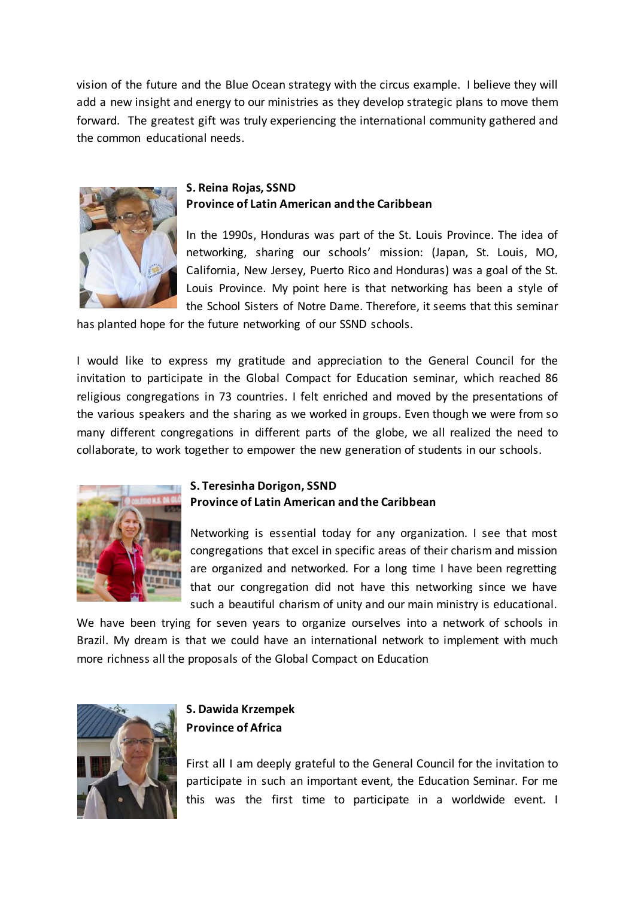vision of the future and the Blue Ocean strategy with the circus example. I believe they will add a new insight and energy to our ministries as they develop strategic plans to move them forward. The greatest gift was truly experiencing the international community gathered and the common educational needs.



### **S. Reina Rojas, SSND Province of Latin American and the Caribbean**

In the 1990s, Honduras was part of the St. Louis Province. The idea of networking, sharing our schools' mission: (Japan, St. Louis, MO, California, New Jersey, Puerto Rico and Honduras) was a goal of the St. Louis Province. My point here is that networking has been a style of the School Sisters of Notre Dame. Therefore, it seems that this seminar

has planted hope for the future networking of our SSND schools.

I would like to express my gratitude and appreciation to the General Council for the invitation to participate in the Global Compact for Education seminar, which reached 86 religious congregations in 73 countries. I felt enriched and moved by the presentations of the various speakers and the sharing as we worked in groups. Even though we were from so many different congregations in different parts of the globe, we all realized the need to collaborate, to work together to empower the new generation of students in our schools.



# **S. Teresinha Dorigon, SSND Province of Latin American and the Caribbean**

Networking is essential today for any organization. I see that most congregations that excel in specific areas of their charism and mission are organized and networked. For a long time I have been regretting that our congregation did not have this networking since we have such a beautiful charism of unity and our main ministry is educational.

We have been trying for seven years to organize ourselves into a network of schools in Brazil. My dream is that we could have an international network to implement with much more richness all the proposals of the Global Compact on Education



# **S. Dawida Krzempek Province of Africa**

First all I am deeply grateful to the General Council for the invitation to participate in such an important event, the Education Seminar. For me this was the first time to participate in a worldwide event. I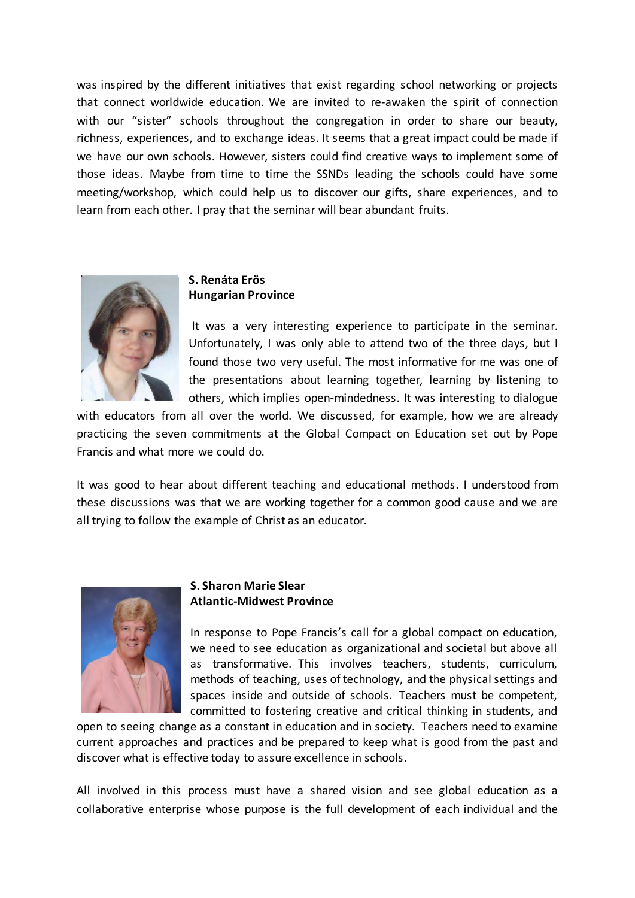was inspired by the different initiatives that exist regarding school networking or projects that connect worldwide education. We are invited to re-awaken the spirit of connection with our "sister" schools throughout the congregation in order to share our beauty, richness, experiences, and to exchange ideas. It seems that a great impact could be made if we have our own schools. However, sisters could find creative ways to implement some of those ideas. Maybe from time to time the SSNDs leading the schools could have some meeting/workshop, which could help us to discover our gifts, share experiences, and to learn from each other. I pray that the seminar will bear abundant fruits.



### **S. Renáta Erös Hungarian Province**

It was a very interesting experience to participate in the seminar. Unfortunately, I was only able to attend two of the three days, but I found those two very useful. The most informative for me was one of the presentations about learning together, learning by listening to others, which implies open-mindedness. It was interesting to dialogue

with educators from all over the world. We discussed, for example, how we are already practicing the seven commitments at the Global Compact on Education set out by Pope Francis and what more we could do.

It was good to hear about different teaching and educational methods. I understood from these discussions was that we are working together for a common good cause and we are all trying to follow the example of Christ as an educator.



#### **S. Sharon Marie Slear Atlantic-Midwest Province**

In response to Pope Francis's call for a global compact on education, we need to see education as organizational and societal but above all as transformative. This involves teachers, students, curriculum, methods of teaching, uses of technology, and the physical settings and spaces inside and outside of schools. Teachers must be competent, committed to fostering creative and critical thinking in students, and

open to seeing change as a constant in education and in society. Teachers need to examine current approaches and practices and be prepared to keep what is good from the past and discover what is effective today to assure excellence in schools.

All involved in this process must have a shared vision and see global education as a collaborative enterprise whose purpose is the full development of each individual and the